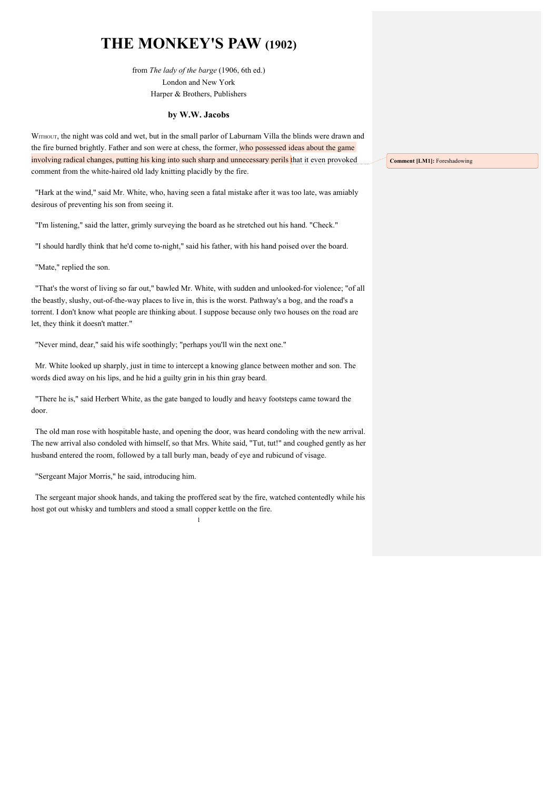## **THE MONKEY'S PAW (1902)**

from *The lady of the barge* (1906, 6th ed.) London and New York Harper & Brothers, Publishers

## **by W.W. Jacobs**

WITHOUT, the night was cold and wet, but in the small parlor of Laburnam Villa the blinds were drawn and the fire burned brightly. Father and son were at chess, the former, who possessed ideas about the game involving radical changes, putting his king into such sharp and unnecessary perils that it even provoked comment from the white-haired old lady knitting placidly by the fire.

"Hark at the wind," said Mr. White, who, having seen a fatal mistake after it was too late, was amiably desirous of preventing his son from seeing it.

"I'm listening," said the latter, grimly surveying the board as he stretched out his hand. "Check."

"I should hardly think that he'd come to-night," said his father, with his hand poised over the board.

"Mate," replied the son.

"That's the worst of living so far out," bawled Mr. White, with sudden and unlooked-for violence; "of all the beastly, slushy, out-of-the-way places to live in, this is the worst. Pathway's a bog, and the road's a torrent. I don't know what people are thinking about. I suppose because only two houses on the road are let, they think it doesn't matter."

"Never mind, dear," said his wife soothingly; "perhaps you'll win the next one."

Mr. White looked up sharply, just in time to intercept a knowing glance between mother and son. The words died away on his lips, and he hid a guilty grin in his thin gray beard.

"There he is," said Herbert White, as the gate banged to loudly and heavy footsteps came toward the door.

The old man rose with hospitable haste, and opening the door, was heard condoling with the new arrival. The new arrival also condoled with himself, so that Mrs. White said, "Tut, tut!" and coughed gently as her husband entered the room, followed by a tall burly man, beady of eye and rubicund of visage.

"Sergeant Major Morris," he said, introducing him.

1 The sergeant major shook hands, and taking the proffered seat by the fire, watched contentedly while his host got out whisky and tumblers and stood a small copper kettle on the fire.

**Comment [LM1]:** Foreshadowing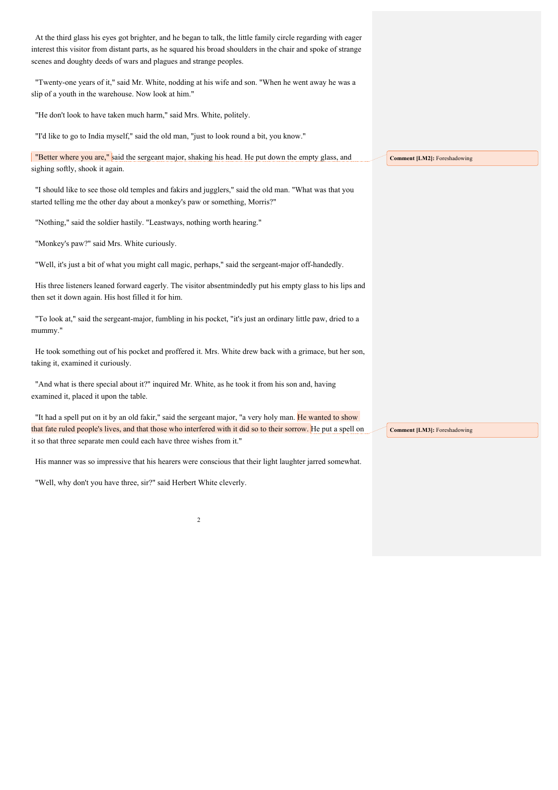| At the third glass his eyes got brighter, and he began to talk, the little family circle regarding with eager<br>interest this visitor from distant parts, as he squared his broad shoulders in the chair and spoke of strange<br>scenes and doughty deeds of wars and plagues and strange peoples. |                                     |
|-----------------------------------------------------------------------------------------------------------------------------------------------------------------------------------------------------------------------------------------------------------------------------------------------------|-------------------------------------|
| "Twenty-one years of it," said Mr. White, nodding at his wife and son. "When he went away he was a<br>slip of a youth in the warehouse. Now look at him."                                                                                                                                           |                                     |
| "He don't look to have taken much harm," said Mrs. White, politely.                                                                                                                                                                                                                                 |                                     |
| "I'd like to go to India myself," said the old man, "just to look round a bit, you know."                                                                                                                                                                                                           |                                     |
| "Better where you are," said the sergeant major, shaking his head. He put down the empty glass, and<br>sighing softly, shook it again.                                                                                                                                                              | <b>Comment [LM2]: Foreshadowing</b> |
| "I should like to see those old temples and fakirs and jugglers," said the old man. "What was that you<br>started telling me the other day about a monkey's paw or something, Morris?"                                                                                                              |                                     |
| "Nothing," said the soldier hastily. "Leastways, nothing worth hearing."                                                                                                                                                                                                                            |                                     |
| "Monkey's paw?" said Mrs. White curiously.                                                                                                                                                                                                                                                          |                                     |
| "Well, it's just a bit of what you might call magic, perhaps," said the sergeant-major off-handedly.                                                                                                                                                                                                |                                     |
| His three listeners leaned forward eagerly. The visitor absentmindedly put his empty glass to his lips and<br>then set it down again. His host filled it for him.                                                                                                                                   |                                     |
| "To look at," said the sergeant-major, fumbling in his pocket, "it's just an ordinary little paw, dried to a<br>mummy."                                                                                                                                                                             |                                     |
| He took something out of his pocket and proffered it. Mrs. White drew back with a grimace, but her son,<br>taking it, examined it curiously.                                                                                                                                                        |                                     |
| "And what is there special about it?" inquired Mr. White, as he took it from his son and, having<br>examined it, placed it upon the table.                                                                                                                                                          |                                     |
| "It had a spell put on it by an old fakir," said the sergeant major, "a very holy man. He wanted to show<br>that fate ruled people's lives, and that those who interfered with it did so to their sorrow. He put a spell on<br>it so that three separate men could each have three wishes from it." | <b>Comment [LM3]: Foreshadowing</b> |
| His manner was so impressive that his hearers were conscious that their light laughter jarred somewhat.                                                                                                                                                                                             |                                     |
| "Well, why don't you have three, sir?" said Herbert White cleverly.                                                                                                                                                                                                                                 |                                     |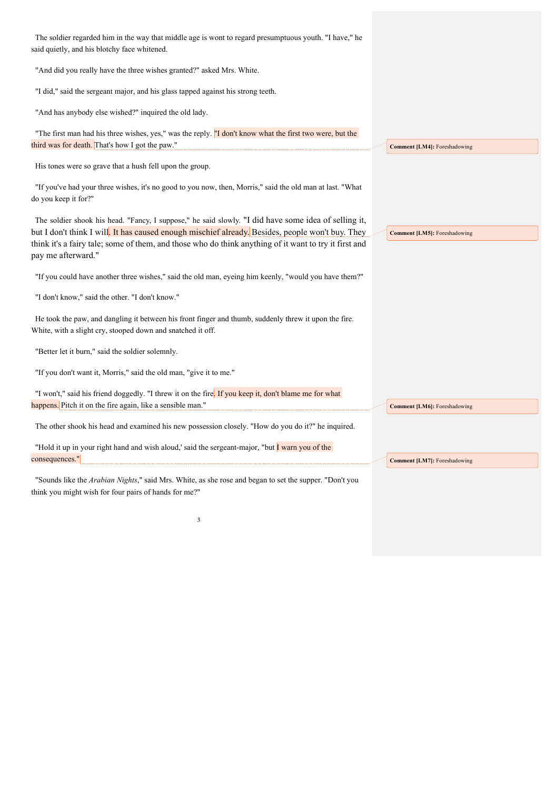| The soldier regarded him in the way that middle age is wont to regard presumptuous youth. "I have," he<br>said quietly, and his blotchy face whitened.                                                                                                                                                                                  |                                     |
|-----------------------------------------------------------------------------------------------------------------------------------------------------------------------------------------------------------------------------------------------------------------------------------------------------------------------------------------|-------------------------------------|
| "And did you really have the three wishes granted?" asked Mrs. White.                                                                                                                                                                                                                                                                   |                                     |
| "I did," said the sergeant major, and his glass tapped against his strong teeth.                                                                                                                                                                                                                                                        |                                     |
| "And has anybody else wished?" inquired the old lady.                                                                                                                                                                                                                                                                                   |                                     |
| "The first man had his three wishes, yes," was the reply. "I don't know what the first two were, but the<br>third was for death. That's how I got the paw."                                                                                                                                                                             | <b>Comment [LM4]: Foreshadowing</b> |
| His tones were so grave that a hush fell upon the group.                                                                                                                                                                                                                                                                                |                                     |
| "If you've had your three wishes, it's no good to you now, then, Morris," said the old man at last. "What<br>do you keep it for?"                                                                                                                                                                                                       |                                     |
| The soldier shook his head. "Fancy, I suppose," he said slowly. "I did have some idea of selling it,<br>but I don't think I will. It has caused enough mischief already. Besides, people won't buy. They<br>think it's a fairy tale; some of them, and those who do think anything of it want to try it first and<br>pay me afterward." | <b>Comment [LM5]:</b> Foreshadowing |
| "If you could have another three wishes," said the old man, eyeing him keenly, "would you have them?"                                                                                                                                                                                                                                   |                                     |
| "I don't know," said the other. "I don't know."                                                                                                                                                                                                                                                                                         |                                     |
| He took the paw, and dangling it between his front finger and thumb, suddenly threw it upon the fire.<br>White, with a slight cry, stooped down and snatched it off.                                                                                                                                                                    |                                     |
| "Better let it burn," said the soldier solemnly.                                                                                                                                                                                                                                                                                        |                                     |
| "If you don't want it, Morris," said the old man, "give it to me."                                                                                                                                                                                                                                                                      |                                     |
| "I won't," said his friend doggedly. "I threw it on the fire. If you keep it, don't blame me for what                                                                                                                                                                                                                                   |                                     |
| happens. Pitch it on the fire again, like a sensible man."                                                                                                                                                                                                                                                                              | <b>Comment [LM6]: Foreshadowing</b> |
| The other shook his head and examined his new possession closely. "How do you do it?" he inquired.                                                                                                                                                                                                                                      |                                     |
| "Hold it up in your right hand and wish aloud,' said the sergeant-major, "but I warn you of the                                                                                                                                                                                                                                         |                                     |
| consequences."                                                                                                                                                                                                                                                                                                                          | <b>Comment [LM7]: Foreshadowing</b> |
| "Sounds like the Arabian Nights," said Mrs. White, as she rose and began to set the supper. "Don't you<br>think you might wish for four pairs of hands for me?"                                                                                                                                                                         |                                     |
| 3                                                                                                                                                                                                                                                                                                                                       |                                     |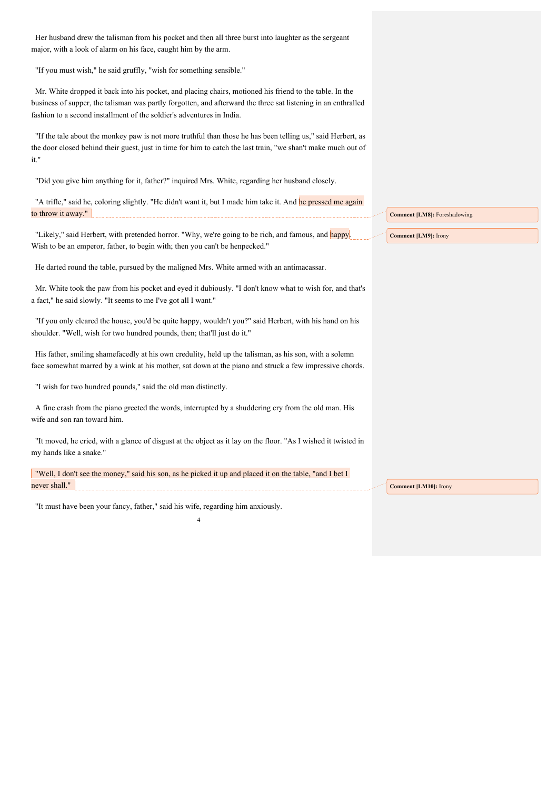Her husband drew the talisman from his pocket and then all three burst into laughter as the sergeant major, with a look of alarm on his face, caught him by the arm.

"If you must wish," he said gruffly, "wish for something sensible."

Mr. White dropped it back into his pocket, and placing chairs, motioned his friend to the table. In the business of supper, the talisman was partly forgotten, and afterward the three sat listening in an enthralled fashion to a second installment of the soldier's adventures in India.

"If the tale about the monkey paw is not more truthful than those he has been telling us," said Herbert, as the door closed behind their guest, just in time for him to catch the last train, "we shan't make much out of it."

"Did you give him anything for it, father?" inquired Mrs. White, regarding her husband closely.

"A trifle," said he, coloring slightly. "He didn't want it, but I made him take it. And he pressed me again to throw it away."

"Likely," said Herbert, with pretended horror. "Why, we're going to be rich, and famous, and happy. Wish to be an emperor, father, to begin with; then you can't be henpecked."

He darted round the table, pursued by the maligned Mrs. White armed with an antimacassar.

Mr. White took the paw from his pocket and eyed it dubiously. "I don't know what to wish for, and that's a fact," he said slowly. "It seems to me I've got all I want."

"If you only cleared the house, you'd be quite happy, wouldn't you?" said Herbert, with his hand on his shoulder. "Well, wish for two hundred pounds, then; that'll just do it."

His father, smiling shamefacedly at his own credulity, held up the talisman, as his son, with a solemn face somewhat marred by a wink at his mother, sat down at the piano and struck a few impressive chords.

"I wish for two hundred pounds," said the old man distinctly.

A fine crash from the piano greeted the words, interrupted by a shuddering cry from the old man. His wife and son ran toward him.

"It moved, he cried, with a glance of disgust at the object as it lay on the floor. "As I wished it twisted in my hands like a snake."

4

"Well, I don't see the money," said his son, as he picked it up and placed it on the table, "and I bet I never shall."

"It must have been your fancy, father," said his wife, regarding him anxiously.

**Comment [LM8]:** Foreshadowing

**Comment [LM9]:** Irony

**Comment [LM10]:** Irony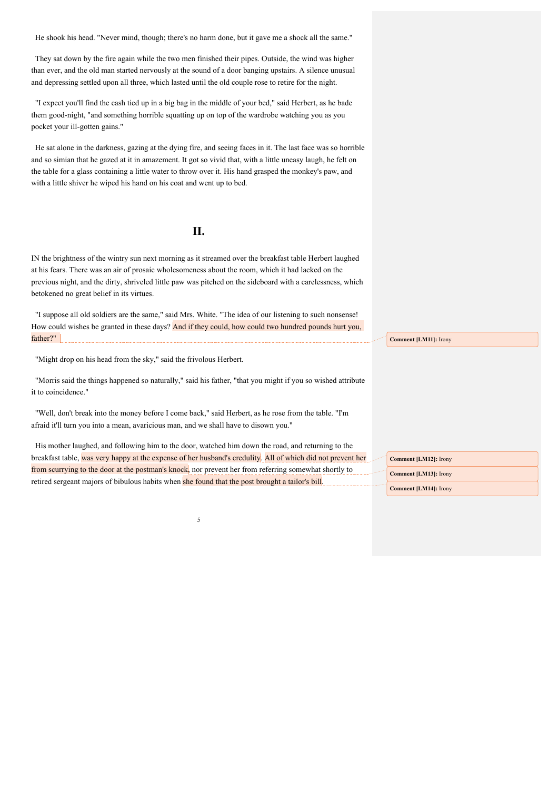He shook his head. "Never mind, though; there's no harm done, but it gave me a shock all the same."

They sat down by the fire again while the two men finished their pipes. Outside, the wind was higher than ever, and the old man started nervously at the sound of a door banging upstairs. A silence unusual and depressing settled upon all three, which lasted until the old couple rose to retire for the night.

"I expect you'll find the cash tied up in a big bag in the middle of your bed," said Herbert, as he bade them good-night, "and something horrible squatting up on top of the wardrobe watching you as you pocket your ill-gotten gains."

He sat alone in the darkness, gazing at the dying fire, and seeing faces in it. The last face was so horrible and so simian that he gazed at it in amazement. It got so vivid that, with a little uneasy laugh, he felt on the table for a glass containing a little water to throw over it. His hand grasped the monkey's paw, and with a little shiver he wiped his hand on his coat and went up to bed.

## **II.**

IN the brightness of the wintry sun next morning as it streamed over the breakfast table Herbert laughed at his fears. There was an air of prosaic wholesomeness about the room, which it had lacked on the previous night, and the dirty, shriveled little paw was pitched on the sideboard with a carelessness, which betokened no great belief in its virtues.

"I suppose all old soldiers are the same," said Mrs. White. "The idea of our listening to such nonsense! How could wishes be granted in these days? And if they could, how could two hundred pounds hurt you, father?"

"Might drop on his head from the sky," said the frivolous Herbert.

"Morris said the things happened so naturally," said his father, "that you might if you so wished attribute it to coincidence."

"Well, don't break into the money before I come back," said Herbert, as he rose from the table. "I'm afraid it'll turn you into a mean, avaricious man, and we shall have to disown you."

His mother laughed, and following him to the door, watched him down the road, and returning to the breakfast table, was very happy at the expense of her husband's credulity. All of which did not prevent her from scurrying to the door at the postman's knock, nor prevent her from referring somewhat shortly to retired sergeant majors of bibulous habits when she found that the post brought a tailor's bill.

5

**Comment [LM11]:** Irony

**Comment [LM12]:** Irony **Comment [LM13]:** Irony **Comment [LM14]:** Irony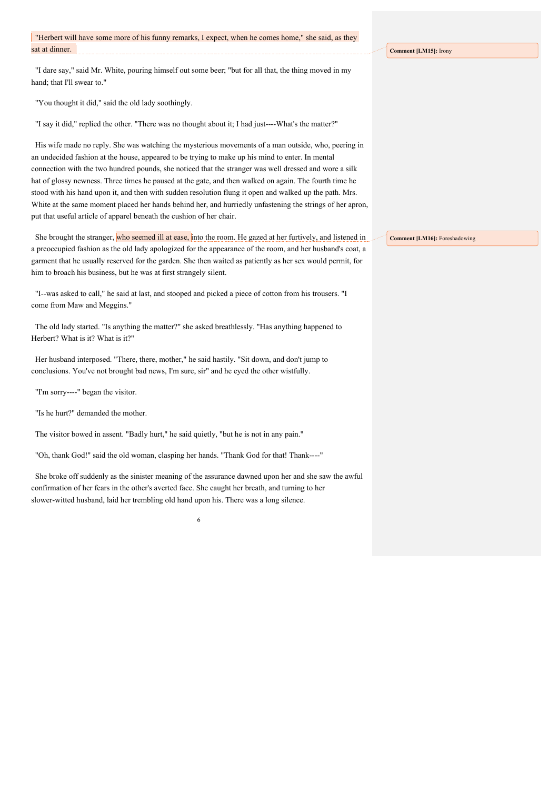"I dare say," said Mr. White, pouring himself out some beer; "but for all that, the thing moved in my hand; that I'll swear to."

"You thought it did," said the old lady soothingly.

"I say it did," replied the other. "There was no thought about it; I had just----What's the matter?"

His wife made no reply. She was watching the mysterious movements of a man outside, who, peering in an undecided fashion at the house, appeared to be trying to make up his mind to enter. In mental connection with the two hundred pounds, she noticed that the stranger was well dressed and wore a silk hat of glossy newness. Three times he paused at the gate, and then walked on again. The fourth time he stood with his hand upon it, and then with sudden resolution flung it open and walked up the path. Mrs. White at the same moment placed her hands behind her, and hurriedly unfastening the strings of her apron, put that useful article of apparel beneath the cushion of her chair.

She brought the stranger, who seemed ill at ease, into the room. He gazed at her furtively, and listened in a preoccupied fashion as the old lady apologized for the appearance of the room, and her husband's coat, a garment that he usually reserved for the garden. She then waited as patiently as her sex would permit, for him to broach his business, but he was at first strangely silent.

"I--was asked to call," he said at last, and stooped and picked a piece of cotton from his trousers. "I come from Maw and Meggins."

The old lady started. "Is anything the matter?" she asked breathlessly. "Has anything happened to Herbert? What is it? What is it?"

Her husband interposed. "There, there, mother," he said hastily. "Sit down, and don't jump to conclusions. You've not brought bad news, I'm sure, sir" and he eyed the other wistfully.

"I'm sorry----" began the visitor.

"Is he hurt?" demanded the mother.

The visitor bowed in assent. "Badly hurt," he said quietly, "but he is not in any pain."

"Oh, thank God!" said the old woman, clasping her hands. "Thank God for that! Thank----"

She broke off suddenly as the sinister meaning of the assurance dawned upon her and she saw the awful confirmation of her fears in the other's averted face. She caught her breath, and turning to her slower-witted husband, laid her trembling old hand upon his. There was a long silence.

6

**Comment [LM15]:** Irony

**Comment [LM16]:** Foreshadowing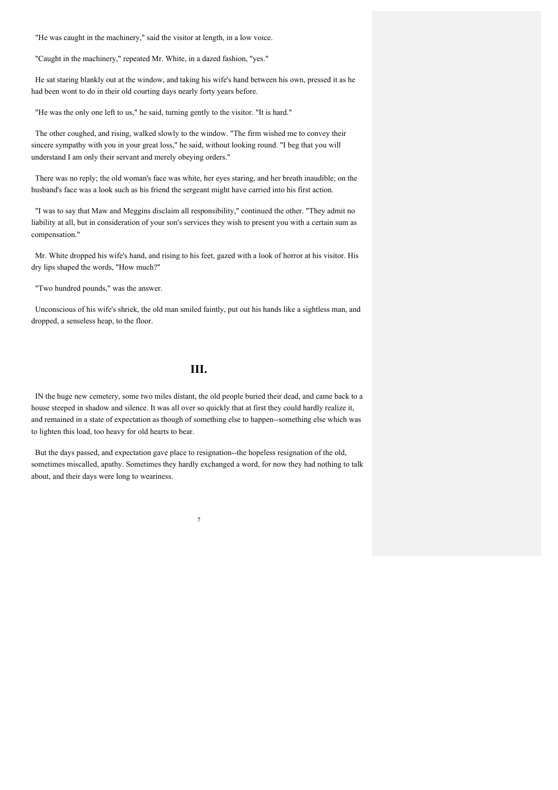"He was caught in the machinery," said the visitor at length, in a low voice.

"Caught in the machinery," repeated Mr. White, in a dazed fashion, "yes."

He sat staring blankly out at the window, and taking his wife's hand between his own, pressed it as he had been wont to do in their old courting days nearly forty years before.

"He was the only one left to us," he said, turning gently to the visitor. "It is hard."

The other coughed, and rising, walked slowly to the window. "The firm wished me to convey their sincere sympathy with you in your great loss," he said, without looking round. "I beg that you will understand I am only their servant and merely obeying orders."

There was no reply; the old woman's face was white, her eyes staring, and her breath inaudible; on the husband's face was a look such as his friend the sergeant might have carried into his first action.

"I was to say that Maw and Meggins disclaim all responsibility," continued the other. "They admit no liability at all, but in consideration of your son's services they wish to present you with a certain sum as compensation."

Mr. White dropped his wife's hand, and rising to his feet, gazed with a look of horror at his visitor. His dry lips shaped the words, "How much?"

"Two hundred pounds," was the answer.

Unconscious of his wife's shriek, the old man smiled faintly, put out his hands like a sightless man, and dropped, a senseless heap, to the floor.

**III.**

IN the huge new cemetery, some two miles distant, the old people buried their dead, and came back to a house steeped in shadow and silence. It was all over so quickly that at first they could hardly realize it, and remained in a state of expectation as though of something else to happen--something else which was to lighten this load, too heavy for old hearts to bear.

But the days passed, and expectation gave place to resignation--the hopeless resignation of the old, sometimes miscalled, apathy. Sometimes they hardly exchanged a word, for now they had nothing to talk about, and their days were long to weariness.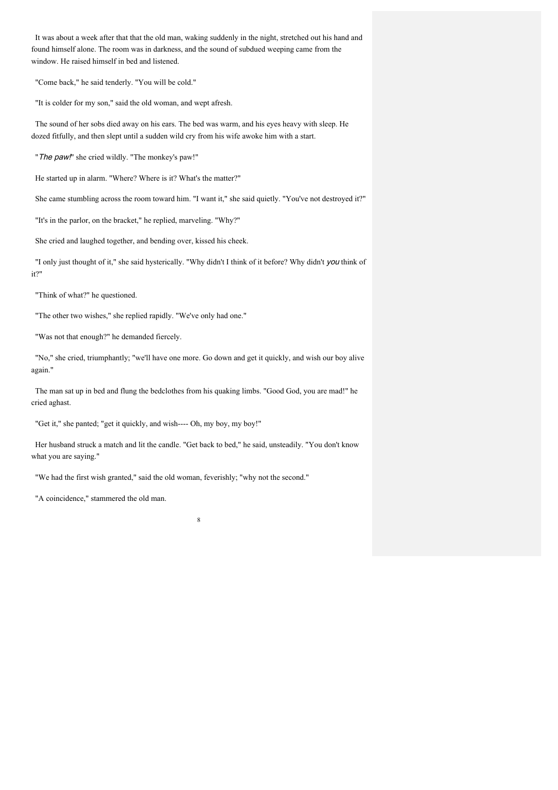It was about a week after that that the old man, waking suddenly in the night, stretched out his hand and found himself alone. The room was in darkness, and the sound of subdued weeping came from the window. He raised himself in bed and listened.

"Come back," he said tenderly. "You will be cold."

"It is colder for my son," said the old woman, and wept afresh.

The sound of her sobs died away on his ears. The bed was warm, and his eyes heavy with sleep. He dozed fitfully, and then slept until a sudden wild cry from his wife awoke him with a start.

"The paw!" she cried wildly. "The monkey's paw!"

He started up in alarm. "Where? Where is it? What's the matter?"

She came stumbling across the room toward him. "I want it," she said quietly. "You've not destroyed it?"

"It's in the parlor, on the bracket," he replied, marveling. "Why?"

She cried and laughed together, and bending over, kissed his cheek.

"I only just thought of it," she said hysterically. "Why didn't I think of it before? Why didn't you think of it?"

"Think of what?" he questioned.

"The other two wishes," she replied rapidly. "We've only had one."

"Was not that enough?" he demanded fiercely.

"No," she cried, triumphantly; "we'll have one more. Go down and get it quickly, and wish our boy alive again."

The man sat up in bed and flung the bedclothes from his quaking limbs. "Good God, you are mad!" he cried aghast.

"Get it," she panted; "get it quickly, and wish---- Oh, my boy, my boy!"

Her husband struck a match and lit the candle. "Get back to bed," he said, unsteadily. "You don't know what you are saying."

8

"We had the first wish granted," said the old woman, feverishly; "why not the second."

"A coincidence," stammered the old man.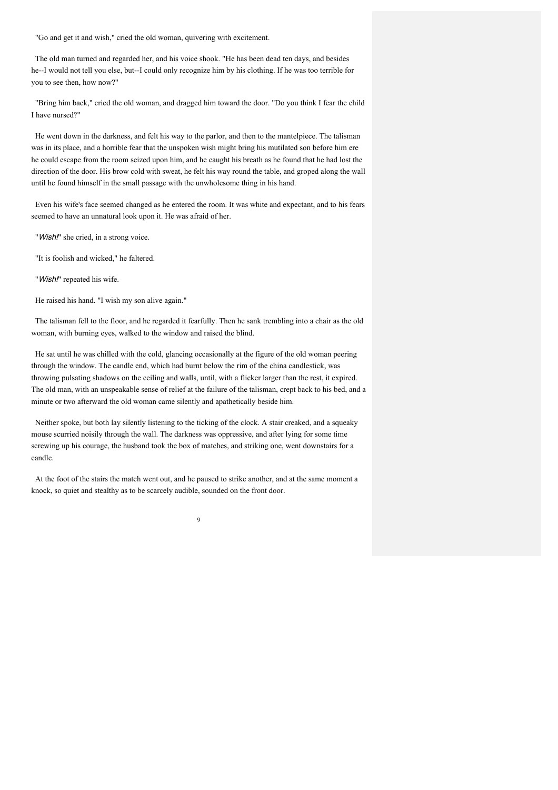"Go and get it and wish," cried the old woman, quivering with excitement.

The old man turned and regarded her, and his voice shook. "He has been dead ten days, and besides he--I would not tell you else, but--I could only recognize him by his clothing. If he was too terrible for you to see then, how now?"

"Bring him back," cried the old woman, and dragged him toward the door. "Do you think I fear the child I have nursed?"

He went down in the darkness, and felt his way to the parlor, and then to the mantelpiece. The talisman was in its place, and a horrible fear that the unspoken wish might bring his mutilated son before him ere he could escape from the room seized upon him, and he caught his breath as he found that he had lost the direction of the door. His brow cold with sweat, he felt his way round the table, and groped along the wall until he found himself in the small passage with the unwholesome thing in his hand.

Even his wife's face seemed changed as he entered the room. It was white and expectant, and to his fears seemed to have an unnatural look upon it. He was afraid of her.

"Wish!" she cried, in a strong voice.

"It is foolish and wicked," he faltered.

"Wish!" repeated his wife.

He raised his hand. "I wish my son alive again."

The talisman fell to the floor, and he regarded it fearfully. Then he sank trembling into a chair as the old woman, with burning eyes, walked to the window and raised the blind.

He sat until he was chilled with the cold, glancing occasionally at the figure of the old woman peering through the window. The candle end, which had burnt below the rim of the china candlestick, was throwing pulsating shadows on the ceiling and walls, until, with a flicker larger than the rest, it expired. The old man, with an unspeakable sense of relief at the failure of the talisman, crept back to his bed, and a minute or two afterward the old woman came silently and apathetically beside him.

Neither spoke, but both lay silently listening to the ticking of the clock. A stair creaked, and a squeaky mouse scurried noisily through the wall. The darkness was oppressive, and after lying for some time screwing up his courage, the husband took the box of matches, and striking one, went downstairs for a candle.

At the foot of the stairs the match went out, and he paused to strike another, and at the same moment a knock, so quiet and stealthy as to be scarcely audible, sounded on the front door.